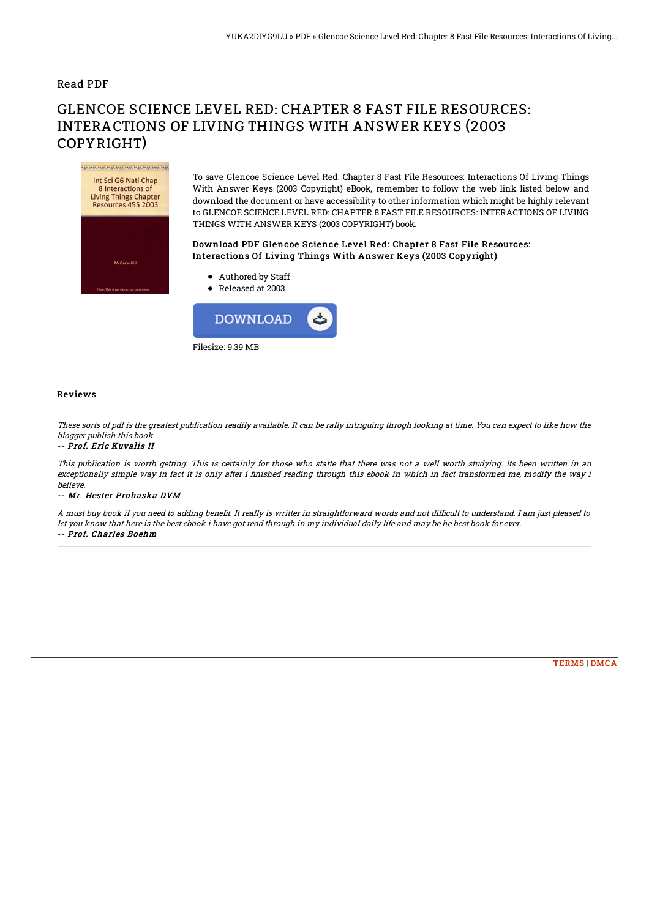## Read PDF

# GLENCOE SCIENCE LEVEL RED: CHAPTER 8 FAST FILE RESOURCES: INTERACTIONS OF LIVING THINGS WITH ANSWER KEYS (2003 COPYRIGHT)

mannannannannannan Int Sci G6 Natl Chap 8 Interactions of Living Things Chapter **Resources 455 2003** 

To save Glencoe Science Level Red: Chapter 8 Fast File Resources: Interactions Of Living Things With Answer Keys (2003 Copyright) eBook, remember to follow the web link listed below and download the document or have accessibility to other information which might be highly relevant to GLENCOE SCIENCE LEVEL RED: CHAPTER 8 FAST FILE RESOURCES: INTERACTIONS OF LIVING THINGS WITH ANSWER KEYS (2003 COPYRIGHT) book.

### Download PDF Glencoe Science Level Red: Chapter 8 Fast File Resources: Interactions Of Living Things With Answer Keys (2003 Copyright)

- Authored by Staff
- Released at 2003



#### Reviews

These sorts of pdf is the greatest publication readily available. It can be rally intriguing throgh looking at time. You can expect to like how the blogger publish this book.

#### -- Prof. Eric Kuvalis II

This publication is worth getting. This is certainly for those who statte that there was not <sup>a</sup> well worth studying. Its been written in an exceptionally simple way in fact it is only after i finished reading through this ebook in which in fact transformed me, modify the way i believe.

#### -- Mr. Hester Prohaska DVM

A must buy book if you need to adding benefit. It really is writter in straightforward words and not difficult to understand. I am just pleased to let you know that here is the best ebook i have got read through in my individual daily life and may be he best book for ever. -- Prof. Charles Boehm